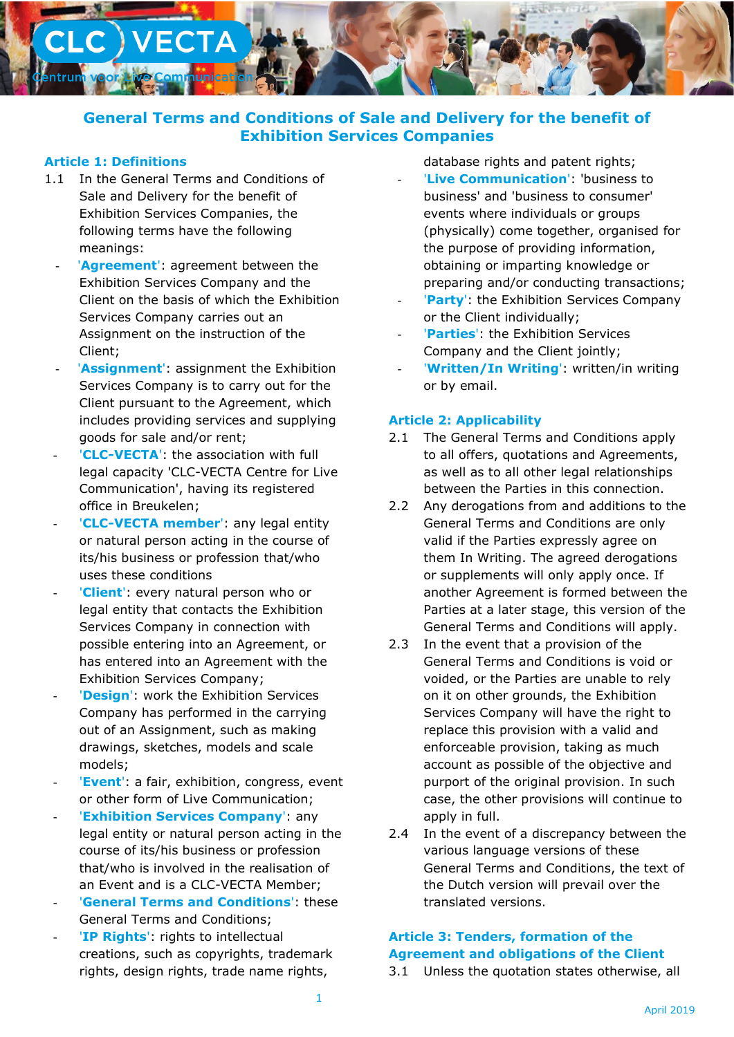

# **General Terms and Conditions of Sale and Delivery for the benefit of Exhibition Services Companies**

## **Article 1: Definitions**

- 1.1 In the General Terms and Conditions of Sale and Delivery for the benefit of Exhibition Services Companies, the following terms have the following meanings:
	- '**Agreement**': agreement between the Exhibition Services Company and the Client on the basis of which the Exhibition Services Company carries out an Assignment on the instruction of the Client;
	- 'Assignment': assignment the Exhibition Services Company is to carry out for the Client pursuant to the Agreement, which includes providing services and supplying goods for sale and/or rent;
	- '**CLC-VECTA**': the association with full legal capacity 'CLC-VECTA Centre for Live Communication', having its registered office in Breukelen;
	- '**CLC-VECTA member':** any legal entity or natural person acting in the course of its/his business or profession that/who uses these conditions
	- '**Client**': every natural person who or legal entity that contacts the Exhibition Services Company in connection with possible entering into an Agreement, or has entered into an Agreement with the Exhibition Services Company;
	- 'Design': work the Exhibition Services Company has performed in the carrying out of an Assignment, such as making drawings, sketches, models and scale models;
	- 'Event': a fair, exhibition, congress, event or other form of Live Communication;
	- **'Exhibition Services Company': any** legal entity or natural person acting in the course of its/his business or profession that/who is involved in the realisation of an Event and is a CLC-VECTA Member;
	- **'General Terms and Conditions': these** General Terms and Conditions;
	- '**IP Rights':** rights to intellectual creations, such as copyrights, trademark rights, design rights, trade name rights,

database rights and patent rights;

- 'Live Communication': 'business to business' and 'business to consumer' events where individuals or groups (physically) come together, organised for the purpose of providing information, obtaining or imparting knowledge or preparing and/or conducting transactions;
- 'Party': the Exhibition Services Company or the Client individually;
- 'Parties': the Exhibition Services Company and the Client jointly;
- 'Written/In Writing': written/in writing or by email.

### **Article 2: Applicability**

- 2.1 The General Terms and Conditions apply to all offers, quotations and Agreements, as well as to all other legal relationships between the Parties in this connection.
- 2.2 Any derogations from and additions to the General Terms and Conditions are only valid if the Parties expressly agree on them In Writing. The agreed derogations or supplements will only apply once. If another Agreement is formed between the Parties at a later stage, this version of the General Terms and Conditions will apply.
- 2.3 In the event that a provision of the General Terms and Conditions is void or voided, or the Parties are unable to rely on it on other grounds, the Exhibition Services Company will have the right to replace this provision with a valid and enforceable provision, taking as much account as possible of the objective and purport of the original provision. In such case, the other provisions will continue to apply in full.
- 2.4 In the event of a discrepancy between the various language versions of these General Terms and Conditions, the text of the Dutch version will prevail over the translated versions.

# **Article 3: Tenders, formation of the Agreement and obligations of the Client**

3.1 Unless the quotation states otherwise, all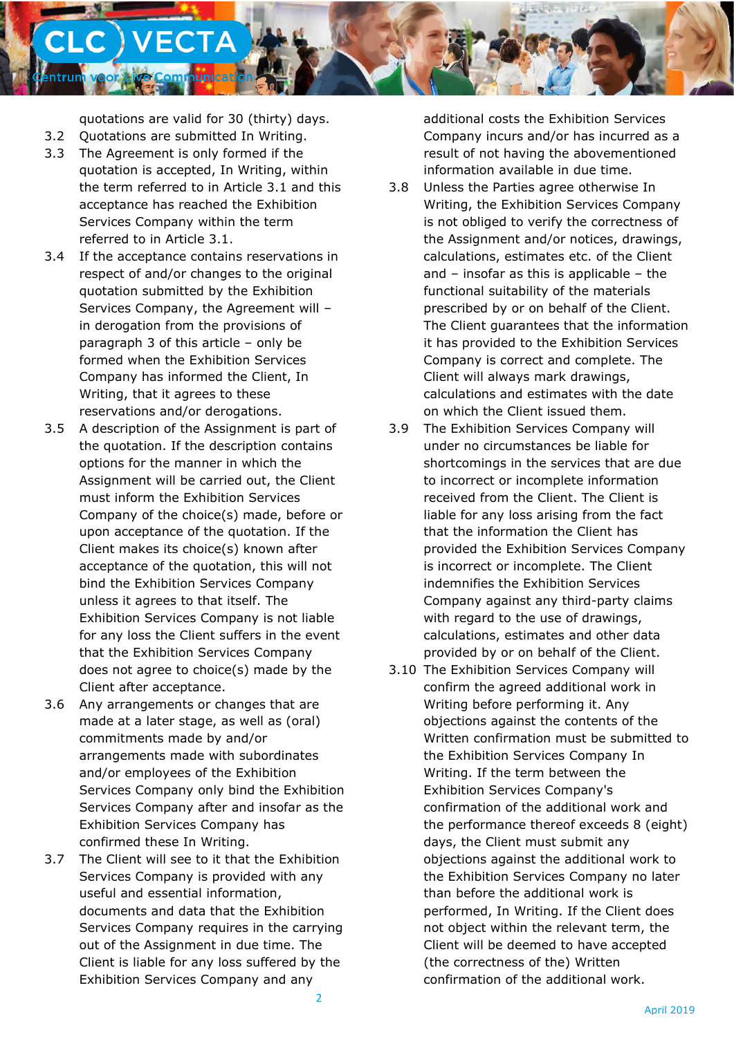quotations are valid for 30 (thirty) days.

**unicat** 

3.2 Quotations are submitted In Writing.

**.C** ) VECTA

- 3.3 The Agreement is only formed if the quotation is accepted, In Writing, within the term referred to in Article 3.1 and this acceptance has reached the Exhibition Services Company within the term referred to in Article 3.1.
- 3.4 If the acceptance contains reservations in respect of and/or changes to the original quotation submitted by the Exhibition Services Company, the Agreement will – in derogation from the provisions of paragraph 3 of this article – only be formed when the Exhibition Services Company has informed the Client, In Writing, that it agrees to these reservations and/or derogations.
- 3.5 A description of the Assignment is part of the quotation. If the description contains options for the manner in which the Assignment will be carried out, the Client must inform the Exhibition Services Company of the choice(s) made, before or upon acceptance of the quotation. If the Client makes its choice(s) known after acceptance of the quotation, this will not bind the Exhibition Services Company unless it agrees to that itself. The Exhibition Services Company is not liable for any loss the Client suffers in the event that the Exhibition Services Company does not agree to choice(s) made by the Client after acceptance.
- 3.6 Any arrangements or changes that are made at a later stage, as well as (oral) commitments made by and/or arrangements made with subordinates and/or employees of the Exhibition Services Company only bind the Exhibition Services Company after and insofar as the Exhibition Services Company has confirmed these In Writing.
- 3.7 The Client will see to it that the Exhibition Services Company is provided with any useful and essential information, documents and data that the Exhibition Services Company requires in the carrying out of the Assignment in due time. The Client is liable for any loss suffered by the Exhibition Services Company and any

additional costs the Exhibition Services Company incurs and/or has incurred as a result of not having the abovementioned information available in due time.

- 3.8 Unless the Parties agree otherwise In Writing, the Exhibition Services Company is not obliged to verify the correctness of the Assignment and/or notices, drawings, calculations, estimates etc. of the Client and – insofar as this is applicable – the functional suitability of the materials prescribed by or on behalf of the Client. The Client guarantees that the information it has provided to the Exhibition Services Company is correct and complete. The Client will always mark drawings, calculations and estimates with the date on which the Client issued them.
- 3.9 The Exhibition Services Company will under no circumstances be liable for shortcomings in the services that are due to incorrect or incomplete information received from the Client. The Client is liable for any loss arising from the fact that the information the Client has provided the Exhibition Services Company is incorrect or incomplete. The Client indemnifies the Exhibition Services Company against any third-party claims with regard to the use of drawings, calculations, estimates and other data provided by or on behalf of the Client.
- 3.10 The Exhibition Services Company will confirm the agreed additional work in Writing before performing it. Any objections against the contents of the Written confirmation must be submitted to the Exhibition Services Company In Writing. If the term between the Exhibition Services Company's confirmation of the additional work and the performance thereof exceeds 8 (eight) days, the Client must submit any objections against the additional work to the Exhibition Services Company no later than before the additional work is performed, In Writing. If the Client does not object within the relevant term, the Client will be deemed to have accepted (the correctness of the) Written confirmation of the additional work.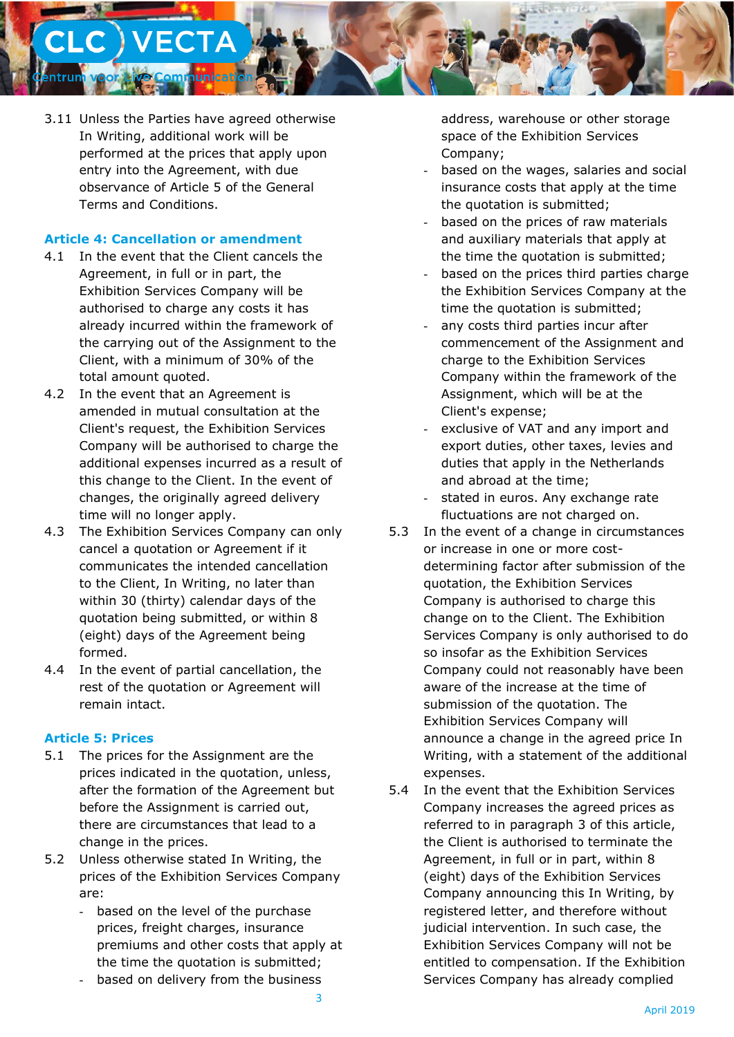

3.11 Unless the Parties have agreed otherwise In Writing, additional work will be performed at the prices that apply upon entry into the Agreement, with due observance of Article 5 of the General Terms and Conditions.

### **Article 4: Cancellation or amendment**

- 4.1 In the event that the Client cancels the Agreement, in full or in part, the Exhibition Services Company will be authorised to charge any costs it has already incurred within the framework of the carrying out of the Assignment to the Client, with a minimum of 30% of the total amount quoted.
- 4.2 In the event that an Agreement is amended in mutual consultation at the Client's request, the Exhibition Services Company will be authorised to charge the additional expenses incurred as a result of this change to the Client. In the event of changes, the originally agreed delivery time will no longer apply.
- 4.3 The Exhibition Services Company can only cancel a quotation or Agreement if it communicates the intended cancellation to the Client, In Writing, no later than within 30 (thirty) calendar days of the quotation being submitted, or within 8 (eight) days of the Agreement being formed.
- 4.4 In the event of partial cancellation, the rest of the quotation or Agreement will remain intact.

### **Article 5: Prices**

- 5.1 The prices for the Assignment are the prices indicated in the quotation, unless, after the formation of the Agreement but before the Assignment is carried out, there are circumstances that lead to a change in the prices.
- 5.2 Unless otherwise stated In Writing, the prices of the Exhibition Services Company are:
	- based on the level of the purchase prices, freight charges, insurance premiums and other costs that apply at the time the quotation is submitted;
	- based on delivery from the business

address, warehouse or other storage space of the Exhibition Services Company;

- based on the wages, salaries and social insurance costs that apply at the time the quotation is submitted;
- based on the prices of raw materials and auxiliary materials that apply at the time the quotation is submitted;
- based on the prices third parties charge the Exhibition Services Company at the time the quotation is submitted;
- any costs third parties incur after commencement of the Assignment and charge to the Exhibition Services Company within the framework of the Assignment, which will be at the Client's expense;
- exclusive of VAT and any import and export duties, other taxes, levies and duties that apply in the Netherlands and abroad at the time;
- stated in euros. Any exchange rate fluctuations are not charged on.
- 5.3 In the event of a change in circumstances or increase in one or more costdetermining factor after submission of the quotation, the Exhibition Services Company is authorised to charge this change on to the Client. The Exhibition Services Company is only authorised to do so insofar as the Exhibition Services Company could not reasonably have been aware of the increase at the time of submission of the quotation. The Exhibition Services Company will announce a change in the agreed price In Writing, with a statement of the additional expenses.
- 5.4 In the event that the Exhibition Services Company increases the agreed prices as referred to in paragraph 3 of this article, the Client is authorised to terminate the Agreement, in full or in part, within 8 (eight) days of the Exhibition Services Company announcing this In Writing, by registered letter, and therefore without judicial intervention. In such case, the Exhibition Services Company will not be entitled to compensation. If the Exhibition Services Company has already complied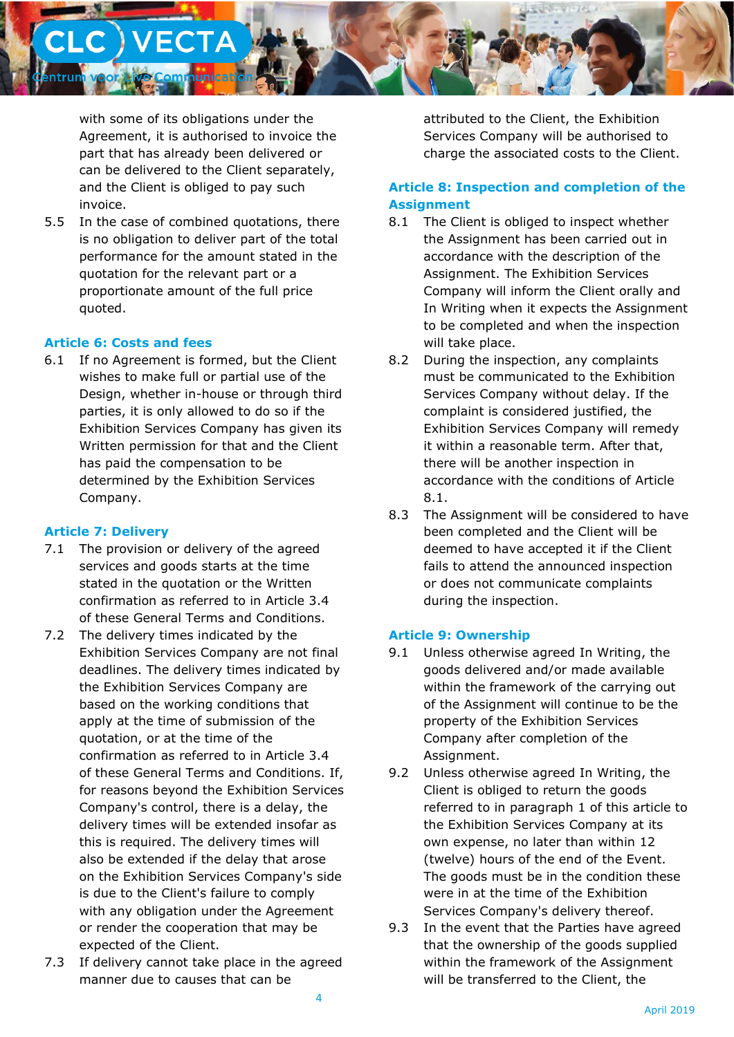

with some of its obligations under the Agreement, it is authorised to invoice the part that has already been delivered or can be delivered to the Client separately, and the Client is obliged to pay such invoice.

5.5 In the case of combined quotations, there is no obligation to deliver part of the total performance for the amount stated in the quotation for the relevant part or a proportionate amount of the full price quoted.

### **Article 6: Costs and fees**

6.1 If no Agreement is formed, but the Client wishes to make full or partial use of the Design, whether in-house or through third parties, it is only allowed to do so if the Exhibition Services Company has given its Written permission for that and the Client has paid the compensation to be determined by the Exhibition Services Company.

### **Article 7: Delivery**

- 7.1 The provision or delivery of the agreed services and goods starts at the time stated in the quotation or the Written confirmation as referred to in Article 3.4 of these General Terms and Conditions.
- 7.2 The delivery times indicated by the Exhibition Services Company are not final deadlines. The delivery times indicated by the Exhibition Services Company are based on the working conditions that apply at the time of submission of the quotation, or at the time of the confirmation as referred to in Article 3.4 of these General Terms and Conditions. If, for reasons beyond the Exhibition Services Company's control, there is a delay, the delivery times will be extended insofar as this is required. The delivery times will also be extended if the delay that arose on the Exhibition Services Company's side is due to the Client's failure to comply with any obligation under the Agreement or render the cooperation that may be expected of the Client.
- 7.3 If delivery cannot take place in the agreed manner due to causes that can be

attributed to the Client, the Exhibition Services Company will be authorised to charge the associated costs to the Client.

# **Article 8: Inspection and completion of the Assignment**

- 8.1 The Client is obliged to inspect whether the Assignment has been carried out in accordance with the description of the Assignment. The Exhibition Services Company will inform the Client orally and In Writing when it expects the Assignment to be completed and when the inspection will take place.
- 8.2 During the inspection, any complaints must be communicated to the Exhibition Services Company without delay. If the complaint is considered justified, the Exhibition Services Company will remedy it within a reasonable term. After that, there will be another inspection in accordance with the conditions of Article 8.1.
- 8.3 The Assignment will be considered to have been completed and the Client will be deemed to have accepted it if the Client fails to attend the announced inspection or does not communicate complaints during the inspection.

### **Article 9: Ownership**

- 9.1 Unless otherwise agreed In Writing, the goods delivered and/or made available within the framework of the carrying out of the Assignment will continue to be the property of the Exhibition Services Company after completion of the Assignment.
- 9.2 Unless otherwise agreed In Writing, the Client is obliged to return the goods referred to in paragraph 1 of this article to the Exhibition Services Company at its own expense, no later than within 12 (twelve) hours of the end of the Event. The goods must be in the condition these were in at the time of the Exhibition Services Company's delivery thereof.
- 9.3 In the event that the Parties have agreed that the ownership of the goods supplied within the framework of the Assignment will be transferred to the Client, the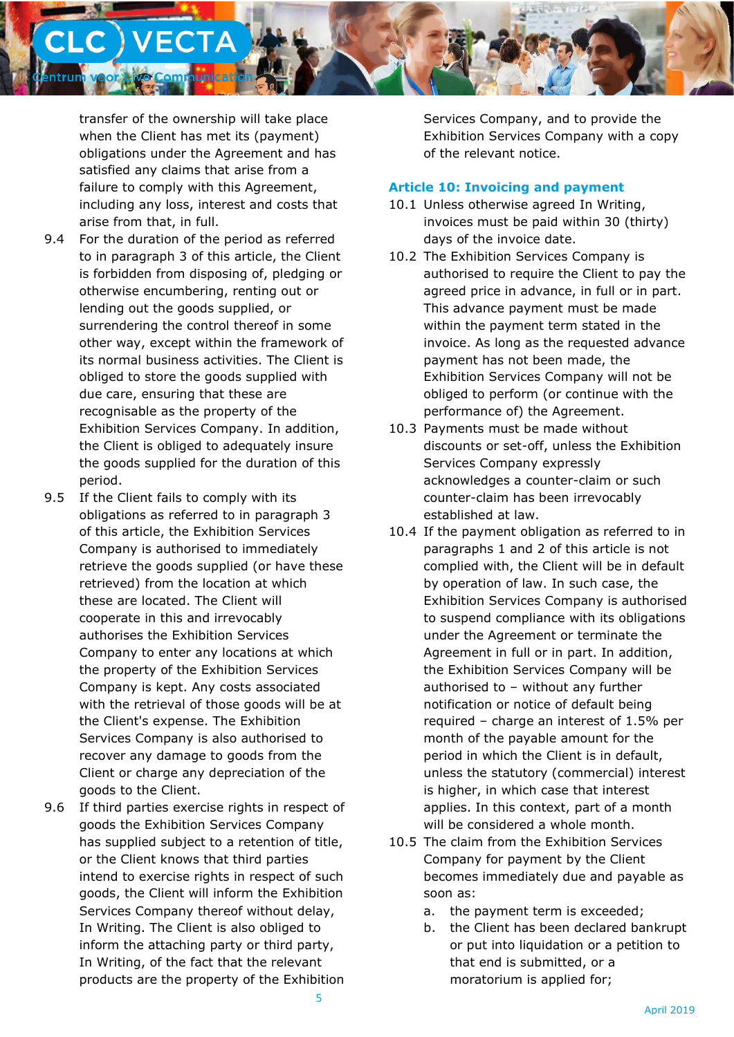**C** ) VECTA unicat

> transfer of the ownership will take place when the Client has met its (payment) obligations under the Agreement and has satisfied any claims that arise from a failure to comply with this Agreement, including any loss, interest and costs that arise from that, in full.

- 9.4 For the duration of the period as referred to in paragraph 3 of this article, the Client is forbidden from disposing of, pledging or otherwise encumbering, renting out or lending out the goods supplied, or surrendering the control thereof in some other way, except within the framework of its normal business activities. The Client is obliged to store the goods supplied with due care, ensuring that these are recognisable as the property of the Exhibition Services Company. In addition, the Client is obliged to adequately insure the goods supplied for the duration of this period.
- 9.5 If the Client fails to comply with its obligations as referred to in paragraph 3 of this article, the Exhibition Services Company is authorised to immediately retrieve the goods supplied (or have these retrieved) from the location at which these are located. The Client will cooperate in this and irrevocably authorises the Exhibition Services Company to enter any locations at which the property of the Exhibition Services Company is kept. Any costs associated with the retrieval of those goods will be at the Client's expense. The Exhibition Services Company is also authorised to recover any damage to goods from the Client or charge any depreciation of the goods to the Client.
- 9.6 If third parties exercise rights in respect of goods the Exhibition Services Company has supplied subject to a retention of title, or the Client knows that third parties intend to exercise rights in respect of such goods, the Client will inform the Exhibition Services Company thereof without delay, In Writing. The Client is also obliged to inform the attaching party or third party, In Writing, of the fact that the relevant products are the property of the Exhibition

Services Company, and to provide the Exhibition Services Company with a copy of the relevant notice.

## **Article 10: Invoicing and payment**

- 10.1 Unless otherwise agreed In Writing, invoices must be paid within 30 (thirty) days of the invoice date.
- 10.2 The Exhibition Services Company is authorised to require the Client to pay the agreed price in advance, in full or in part. This advance payment must be made within the payment term stated in the invoice. As long as the requested advance payment has not been made, the Exhibition Services Company will not be obliged to perform (or continue with the performance of) the Agreement.
- 10.3 Payments must be made without discounts or set-off, unless the Exhibition Services Company expressly acknowledges a counter-claim or such counter-claim has been irrevocably established at law.
- 10.4 If the payment obligation as referred to in paragraphs 1 and 2 of this article is not complied with, the Client will be in default by operation of law. In such case, the Exhibition Services Company is authorised to suspend compliance with its obligations under the Agreement or terminate the Agreement in full or in part. In addition, the Exhibition Services Company will be authorised to – without any further notification or notice of default being required – charge an interest of 1.5% per month of the payable amount for the period in which the Client is in default, unless the statutory (commercial) interest is higher, in which case that interest applies. In this context, part of a month will be considered a whole month.
- 10.5 The claim from the Exhibition Services Company for payment by the Client becomes immediately due and payable as soon as:
	- a. the payment term is exceeded;
	- b. the Client has been declared bankrupt or put into liquidation or a petition to that end is submitted, or a moratorium is applied for;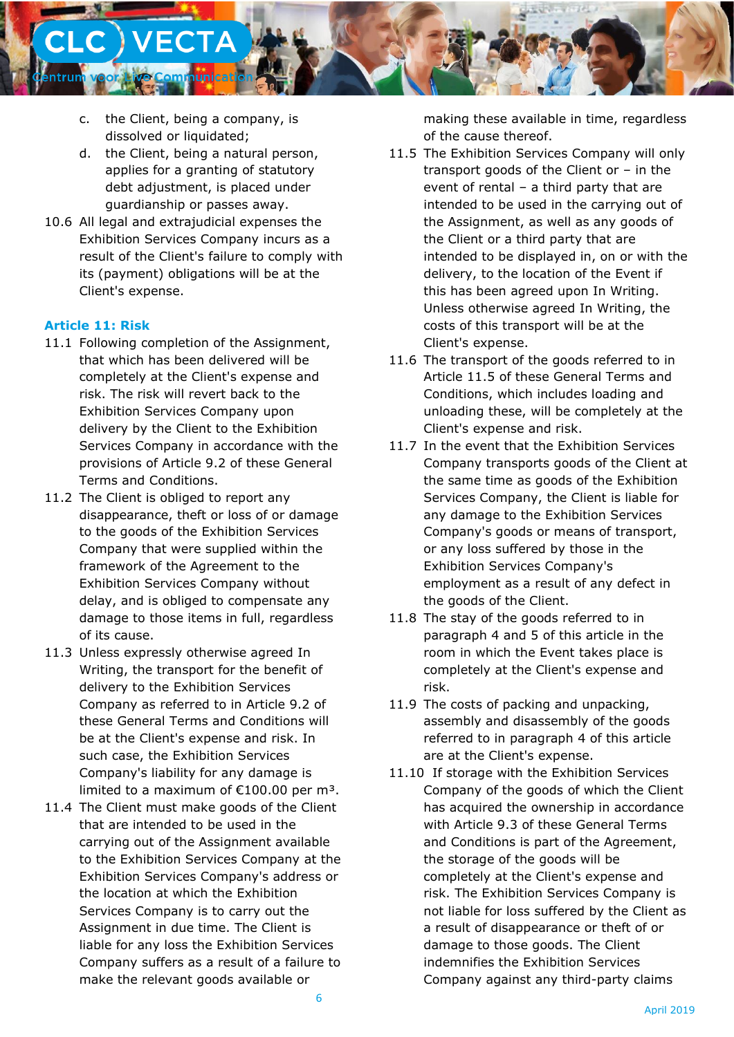

- c. the Client, being a company, is dissolved or liquidated;
- d. the Client, being a natural person, applies for a granting of statutory debt adjustment, is placed under guardianship or passes away.
- 10.6 All legal and extrajudicial expenses the Exhibition Services Company incurs as a result of the Client's failure to comply with its (payment) obligations will be at the Client's expense.

### **Article 11: Risk**

- 11.1 Following completion of the Assignment, that which has been delivered will be completely at the Client's expense and risk. The risk will revert back to the Exhibition Services Company upon delivery by the Client to the Exhibition Services Company in accordance with the provisions of Article 9.2 of these General Terms and Conditions.
- 11.2 The Client is obliged to report any disappearance, theft or loss of or damage to the goods of the Exhibition Services Company that were supplied within the framework of the Agreement to the Exhibition Services Company without delay, and is obliged to compensate any damage to those items in full, regardless of its cause.
- 11.3 Unless expressly otherwise agreed In Writing, the transport for the benefit of delivery to the Exhibition Services Company as referred to in Article 9.2 of these General Terms and Conditions will be at the Client's expense and risk. In such case, the Exhibition Services Company's liability for any damage is limited to a maximum of  $£100.00$  per m<sup>3</sup>.
- 11.4 The Client must make goods of the Client that are intended to be used in the carrying out of the Assignment available to the Exhibition Services Company at the Exhibition Services Company's address or the location at which the Exhibition Services Company is to carry out the Assignment in due time. The Client is liable for any loss the Exhibition Services Company suffers as a result of a failure to make the relevant goods available or

making these available in time, regardless of the cause thereof.

- 11.5 The Exhibition Services Company will only transport goods of the Client or – in the event of rental – a third party that are intended to be used in the carrying out of the Assignment, as well as any goods of the Client or a third party that are intended to be displayed in, on or with the delivery, to the location of the Event if this has been agreed upon In Writing. Unless otherwise agreed In Writing, the costs of this transport will be at the Client's expense.
- 11.6 The transport of the goods referred to in Article 11.5 of these General Terms and Conditions, which includes loading and unloading these, will be completely at the Client's expense and risk.
- 11.7 In the event that the Exhibition Services Company transports goods of the Client at the same time as goods of the Exhibition Services Company, the Client is liable for any damage to the Exhibition Services Company's goods or means of transport, or any loss suffered by those in the Exhibition Services Company's employment as a result of any defect in the goods of the Client.
- 11.8 The stay of the goods referred to in paragraph 4 and 5 of this article in the room in which the Event takes place is completely at the Client's expense and risk.
- 11.9 The costs of packing and unpacking, assembly and disassembly of the goods referred to in paragraph 4 of this article are at the Client's expense.
- 11.10 If storage with the Exhibition Services Company of the goods of which the Client has acquired the ownership in accordance with Article 9.3 of these General Terms and Conditions is part of the Agreement, the storage of the goods will be completely at the Client's expense and risk. The Exhibition Services Company is not liable for loss suffered by the Client as a result of disappearance or theft of or damage to those goods. The Client indemnifies the Exhibition Services Company against any third-party claims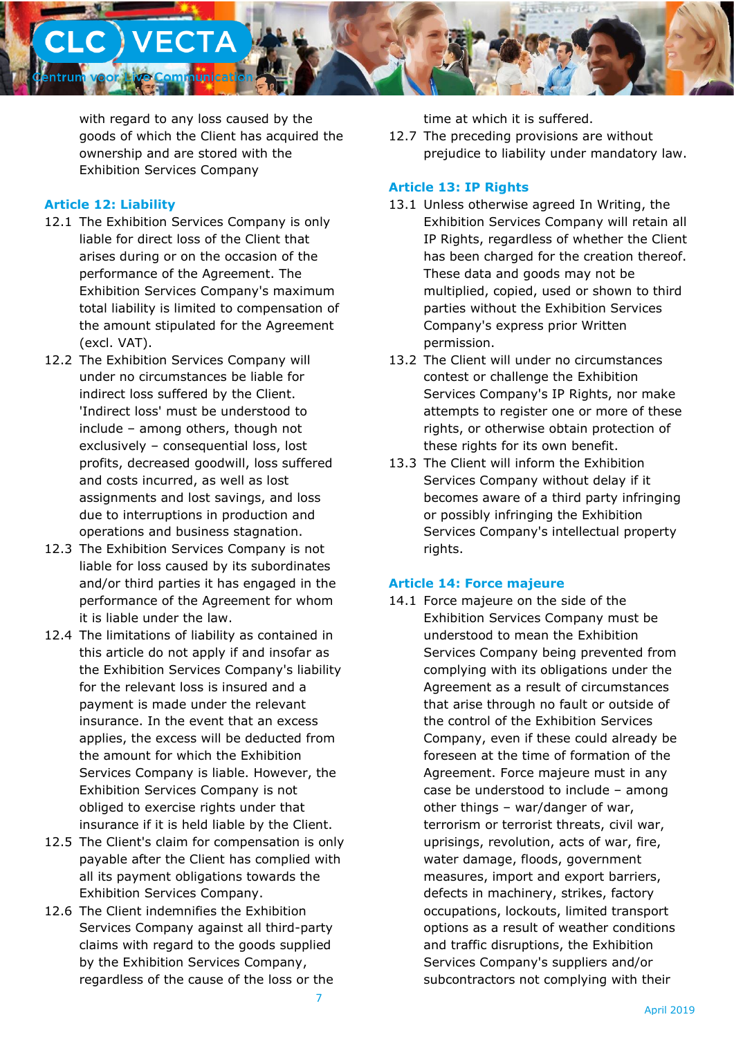

with regard to any loss caused by the goods of which the Client has acquired the ownership and are stored with the Exhibition Services Company

### **Article 12: Liability**

- 12.1 The Exhibition Services Company is only liable for direct loss of the Client that arises during or on the occasion of the performance of the Agreement. The Exhibition Services Company's maximum total liability is limited to compensation of the amount stipulated for the Agreement (excl. VAT).
- 12.2 The Exhibition Services Company will under no circumstances be liable for indirect loss suffered by the Client. 'Indirect loss' must be understood to include – among others, though not exclusively – consequential loss, lost profits, decreased goodwill, loss suffered and costs incurred, as well as lost assignments and lost savings, and loss due to interruptions in production and operations and business stagnation.
- 12.3 The Exhibition Services Company is not liable for loss caused by its subordinates and/or third parties it has engaged in the performance of the Agreement for whom it is liable under the law.
- 12.4 The limitations of liability as contained in this article do not apply if and insofar as the Exhibition Services Company's liability for the relevant loss is insured and a payment is made under the relevant insurance. In the event that an excess applies, the excess will be deducted from the amount for which the Exhibition Services Company is liable. However, the Exhibition Services Company is not obliged to exercise rights under that insurance if it is held liable by the Client.
- 12.5 The Client's claim for compensation is only payable after the Client has complied with all its payment obligations towards the Exhibition Services Company.
- 12.6 The Client indemnifies the Exhibition Services Company against all third-party claims with regard to the goods supplied by the Exhibition Services Company, regardless of the cause of the loss or the

time at which it is suffered.

12.7 The preceding provisions are without prejudice to liability under mandatory law.

### **Article 13: IP Rights**

- 13.1 Unless otherwise agreed In Writing, the Exhibition Services Company will retain all IP Rights, regardless of whether the Client has been charged for the creation thereof. These data and goods may not be multiplied, copied, used or shown to third parties without the Exhibition Services Company's express prior Written permission.
- 13.2 The Client will under no circumstances contest or challenge the Exhibition Services Company's IP Rights, nor make attempts to register one or more of these rights, or otherwise obtain protection of these rights for its own benefit.
- 13.3 The Client will inform the Exhibition Services Company without delay if it becomes aware of a third party infringing or possibly infringing the Exhibition Services Company's intellectual property rights.

### **Article 14: Force majeure**

14.1 Force majeure on the side of the Exhibition Services Company must be understood to mean the Exhibition Services Company being prevented from complying with its obligations under the Agreement as a result of circumstances that arise through no fault or outside of the control of the Exhibition Services Company, even if these could already be foreseen at the time of formation of the Agreement. Force majeure must in any case be understood to include – among other things – war/danger of war, terrorism or terrorist threats, civil war, uprisings, revolution, acts of war, fire, water damage, floods, government measures, import and export barriers, defects in machinery, strikes, factory occupations, lockouts, limited transport options as a result of weather conditions and traffic disruptions, the Exhibition Services Company's suppliers and/or subcontractors not complying with their